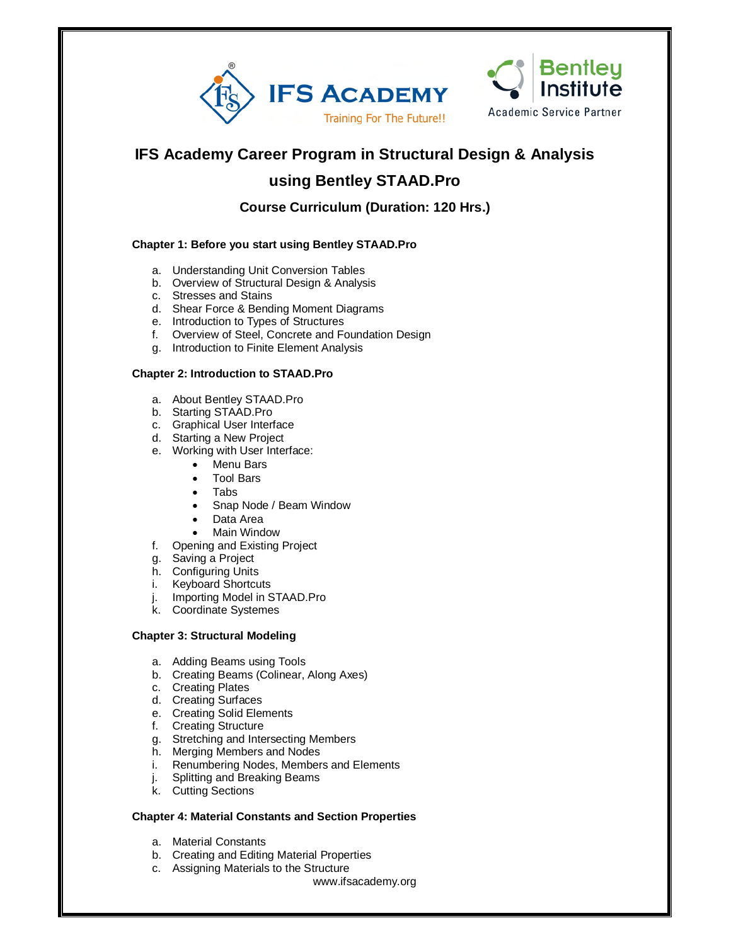

## **IFS Academy Career Program in Structural Design & Analysis**

# **using Bentley STAAD.Pro**

## **Course Curriculum (Duration: 120 Hrs.)**

## **Chapter 1: Before you start using Bentley STAAD.Pro**

- a. Understanding Unit Conversion Tables
- b. Overview of Structural Design & Analysis
- c. Stresses and Stains
- d. Shear Force & Bending Moment Diagrams
- e. Introduction to Types of Structures
- f. Overview of Steel, Concrete and Foundation Design
- g. Introduction to Finite Element Analysis

#### **Chapter 2: Introduction to STAAD.Pro**

- a. About Bentley STAAD.Pro
- b. Starting STAAD.Pro
- c. Graphical User Interface
- d. Starting a New Project
- e. Working with User Interface:
	- Menu Bars
	- Tool Bars
	- Tabs
	- Snap Node / Beam Window
	- Data Area
	- Main Window
- f. Opening and Existing Project
- g. Saving a Project
- h. Configuring Units
- i. Keyboard Shortcuts
- j. Importing Model in STAAD.Pro
- k. Coordinate Systemes

#### **Chapter 3: Structural Modeling**

- a. Adding Beams using Tools
- b. Creating Beams (Colinear, Along Axes)
- c. Creating Plates
- d. Creating Surfaces
- e. Creating Solid Elements
- f. Creating Structure
- g. Stretching and Intersecting Members
- h. Merging Members and Nodes
- i. Renumbering Nodes, Members and Elements
- j. Splitting and Breaking Beams
- k. Cutting Sections

## **Chapter 4: Material Constants and Section Properties**

- a. Material Constants
- b. Creating and Editing Material Properties
- c. Assigning Materials to the Structure
	- www.ifsacademy.org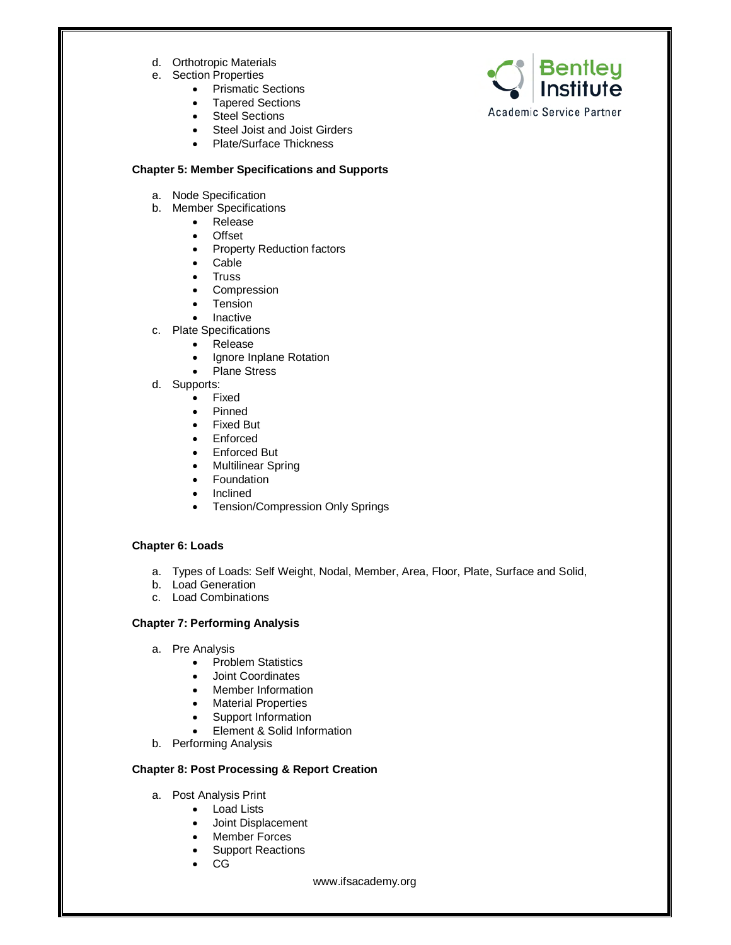- d. Orthotropic Materials
- e. Section Properties
	- Prismatic Sections
	- Tapered Sections
	- Steel Sections
	- Steel Joist and Joist Girders
	- Plate/Surface Thickness

#### **Chapter 5: Member Specifications and Supports**

- a. Node Specification
- b. Member Specifications
	- Release
	- **Offset**
	- Property Reduction factors
	- Cable
	- Truss
	- Compression
	- Tension
	- Inactive
- c. Plate Specifications
	- Release
	- Ignore Inplane Rotation
	- Plane Stress
- d. Supports:
	- Fixed
	- Pinned
	- Fixed But
	- Enforced
	- Enforced But<br>• Multilinear Sp
	- Multilinear Spring
	- Foundation
	- Inclined
	- Tension/Compression Only Springs

### **Chapter 6: Loads**

- a. Types of Loads: Self Weight, Nodal, Member, Area, Floor, Plate, Surface and Solid,
- b. Load Generation
- c. Load Combinations

### **Chapter 7: Performing Analysis**

- a. Pre Analysis
	- Problem Statistics
	- Joint Coordinates
	- Member Information
	- Material Properties
	- Support Information
	- Element & Solid Information
- b. Performing Analysis

#### **Chapter 8: Post Processing & Report Creation**

- a. Post Analysis Print
	- Load Lists
	- Joint Displacement
	- Member Forces
	- Support Reactions
	- CG

www.ifsacademy.org

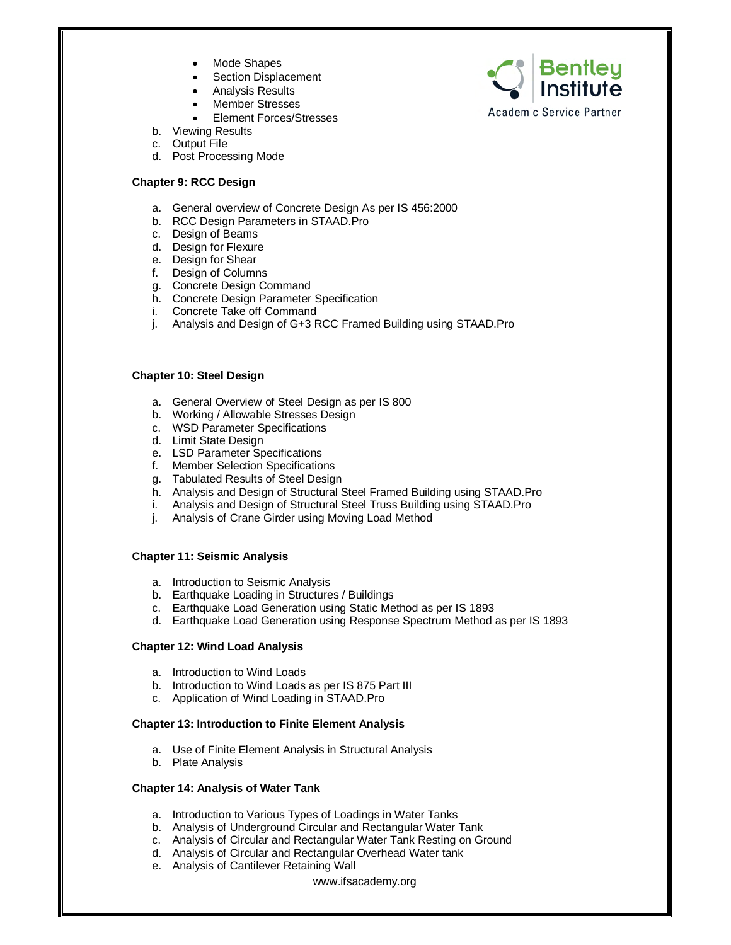- Mode Shapes
- Section Displacement
- Analysis Results
- Member Stresses
- Element Forces/Stresses
- b. Viewing Results
- c. Output File
- d. Post Processing Mode

#### **Chapter 9: RCC Design**

- a. General overview of Concrete Design As per IS 456:2000
- b. RCC Design Parameters in STAAD.Pro
- c. Design of Beams
- d. Design for Flexure
- e. Design for Shear
- f. Design of Columns
- g. Concrete Design Command
- h. Concrete Design Parameter Specification
- i. Concrete Take off Command
- j. Analysis and Design of G+3 RCC Framed Building using STAAD.Pro

#### **Chapter 10: Steel Design**

- a. General Overview of Steel Design as per IS 800
- b. Working / Allowable Stresses Design
- c. WSD Parameter Specifications
- d. Limit State Design
- e. LSD Parameter Specifications
- f. Member Selection Specifications
- g. Tabulated Results of Steel Design
- h. Analysis and Design of Structural Steel Framed Building using STAAD.Pro
- i. Analysis and Design of Structural Steel Truss Building using STAAD.Pro
- j. Analysis of Crane Girder using Moving Load Method

#### **Chapter 11: Seismic Analysis**

- a. Introduction to Seismic Analysis
- b. Earthquake Loading in Structures / Buildings
- c. Earthquake Load Generation using Static Method as per IS 1893
- d. Earthquake Load Generation using Response Spectrum Method as per IS 1893

#### **Chapter 12: Wind Load Analysis**

- a. Introduction to Wind Loads
- b. Introduction to Wind Loads as per IS 875 Part III
- c. Application of Wind Loading in STAAD.Pro

#### **Chapter 13: Introduction to Finite Element Analysis**

- a. Use of Finite Element Analysis in Structural Analysis
- b. Plate Analysis

#### **Chapter 14: Analysis of Water Tank**

- a. Introduction to Various Types of Loadings in Water Tanks
- b. Analysis of Underground Circular and Rectangular Water Tank
- c. Analysis of Circular and Rectangular Water Tank Resting on Ground
- d. Analysis of Circular and Rectangular Overhead Water tank
- e. Analysis of Cantilever Retaining Wall



**Academic Service Partner** 

**Bentley**